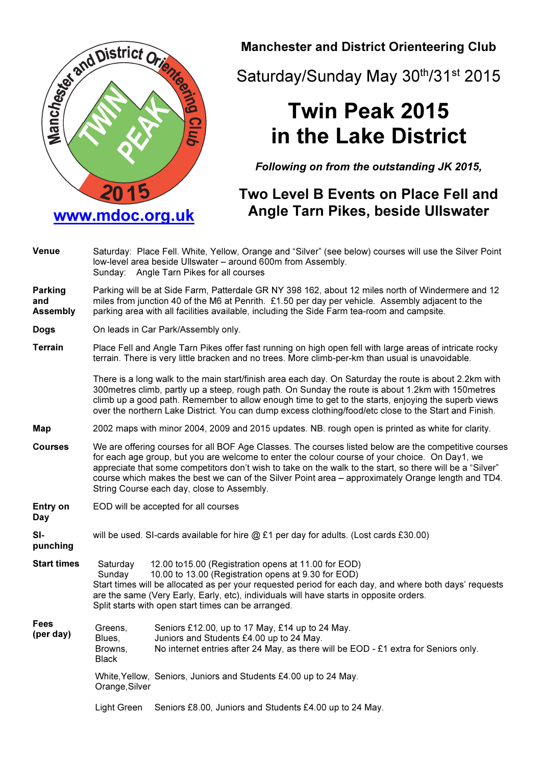

### Manchester and District Orienteering Club

Saturday/Sunday May 30th/31st 2015

# Twin Peak 2015 in the Lake District

Following on from the outstanding JK 2015,

## Two Level B Events on Place Fell and Angle Tarn Pikes, beside Ullswater

| <b>Venue</b>                             | Saturday: Place Fell. White, Yellow, Orange and "Silver" (see below) courses will use the Silver Point<br>low-level area beside Ullswater - around 600m from Assembly.<br>Sunday: Angle Tarn Pikes for all courses                                                                                                                                                                                                                                                       |                                                                                                                                                                                    |  |  |  |  |  |  |  |
|------------------------------------------|--------------------------------------------------------------------------------------------------------------------------------------------------------------------------------------------------------------------------------------------------------------------------------------------------------------------------------------------------------------------------------------------------------------------------------------------------------------------------|------------------------------------------------------------------------------------------------------------------------------------------------------------------------------------|--|--|--|--|--|--|--|
| <b>Parking</b><br>and<br><b>Assembly</b> | Parking will be at Side Farm, Patterdale GR NY 398 162, about 12 miles north of Windermere and 12<br>miles from junction 40 of the M6 at Penrith. £1.50 per day per vehicle. Assembly adjacent to the<br>parking area with all facilities available, including the Side Farm tea-room and campsite.                                                                                                                                                                      |                                                                                                                                                                                    |  |  |  |  |  |  |  |
| <b>Dogs</b>                              | On leads in Car Park/Assembly only.                                                                                                                                                                                                                                                                                                                                                                                                                                      |                                                                                                                                                                                    |  |  |  |  |  |  |  |
| <b>Terrain</b>                           | Place Fell and Angle Tarn Pikes offer fast running on high open fell with large areas of intricate rocky<br>terrain. There is very little bracken and no trees. More climb-per-km than usual is unavoidable.                                                                                                                                                                                                                                                             |                                                                                                                                                                                    |  |  |  |  |  |  |  |
|                                          | There is a long walk to the main start/finish area each day. On Saturday the route is about 2.2km with<br>300 metres climb, partly up a steep, rough path. On Sunday the route is about 1.2km with 150 metres<br>climb up a good path. Remember to allow enough time to get to the starts, enjoying the superb views<br>over the northern Lake District. You can dump excess clothing/food/etc close to the Start and Finish.                                            |                                                                                                                                                                                    |  |  |  |  |  |  |  |
| Map                                      | 2002 maps with minor 2004, 2009 and 2015 updates. NB. rough open is printed as white for clarity.                                                                                                                                                                                                                                                                                                                                                                        |                                                                                                                                                                                    |  |  |  |  |  |  |  |
| <b>Courses</b>                           | We are offering courses for all BOF Age Classes. The courses listed below are the competitive courses<br>for each age group, but you are welcome to enter the colour course of your choice. On Day1, we<br>appreciate that some competitors don't wish to take on the walk to the start, so there will be a "Silver"<br>course which makes the best we can of the Silver Point area - approximately Orange length and TD4.<br>String Course each day, close to Assembly. |                                                                                                                                                                                    |  |  |  |  |  |  |  |
| <b>Entry on</b><br>Day                   | EOD will be accepted for all courses                                                                                                                                                                                                                                                                                                                                                                                                                                     |                                                                                                                                                                                    |  |  |  |  |  |  |  |
| SI-<br>punching                          | will be used. SI-cards available for hire $@$ £1 per day for adults. (Lost cards £30.00)                                                                                                                                                                                                                                                                                                                                                                                 |                                                                                                                                                                                    |  |  |  |  |  |  |  |
| <b>Start times</b>                       | 12.00 to 15.00 (Registration opens at 11.00 for EOD)<br>Saturday<br>Sunday<br>10.00 to 13.00 (Registration opens at 9.30 for EOD)<br>Start times will be allocated as per your requested period for each day, and where both days' requests<br>are the same (Very Early, Early, etc), individuals will have starts in opposite orders.<br>Split starts with open start times can be arranged.                                                                            |                                                                                                                                                                                    |  |  |  |  |  |  |  |
| <b>Fees</b><br>(per day)                 | Greens,<br>Blues,<br>Browns,<br><b>Black</b>                                                                                                                                                                                                                                                                                                                                                                                                                             | Seniors £12.00, up to 17 May, £14 up to 24 May.<br>Juniors and Students £4.00 up to 24 May.<br>No internet entries after 24 May, as there will be EOD - £1 extra for Seniors only. |  |  |  |  |  |  |  |
|                                          | Orange, Silver                                                                                                                                                                                                                                                                                                                                                                                                                                                           | White, Yellow, Seniors, Juniors and Students £4.00 up to 24 May.                                                                                                                   |  |  |  |  |  |  |  |
|                                          | Light Green                                                                                                                                                                                                                                                                                                                                                                                                                                                              | Seniors £8.00, Juniors and Students £4.00 up to 24 May.                                                                                                                            |  |  |  |  |  |  |  |